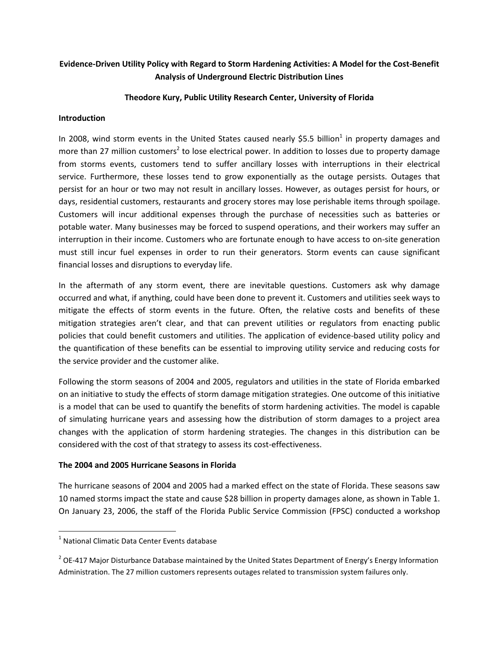## **Evidence-Driven Utility Policy with Regard to Storm Hardening Activities: A Model for the Cost-Benefit Analysis of Underground Electric Distribution Lines**

### **Theodore Kury, Public Utility Research Center, University of Florida**

#### **Introduction**

In 2008, wind storm events in the United States caused nearly \$5.5 billion<sup>1</sup> in property damages and more than 27 million customers<sup>2</sup> to lose electrical power. In addition to losses due to property damage from storms events, customers tend to suffer ancillary losses with interruptions in their electrical service. Furthermore, these losses tend to grow exponentially as the outage persists. Outages that persist for an hour or two may not result in ancillary losses. However, as outages persist for hours, or days, residential customers, restaurants and grocery stores may lose perishable items through spoilage. Customers will incur additional expenses through the purchase of necessities such as batteries or potable water. Many businesses may be forced to suspend operations, and their workers may suffer an interruption in their income. Customers who are fortunate enough to have access to on-site generation must still incur fuel expenses in order to run their generators. Storm events can cause significant financial losses and disruptions to everyday life.

In the aftermath of any storm event, there are inevitable questions. Customers ask why damage occurred and what, if anything, could have been done to prevent it. Customers and utilities seek ways to mitigate the effects of storm events in the future. Often, the relative costs and benefits of these mitigation strategies aren't clear, and that can prevent utilities or regulators from enacting public policies that could benefit customers and utilities. The application of evidence-based utility policy and the quantification of these benefits can be essential to improving utility service and reducing costs for the service provider and the customer alike.

Following the storm seasons of 2004 and 2005, regulators and utilities in the state of Florida embarked on an initiative to study the effects of storm damage mitigation strategies. One outcome of this initiative is a model that can be used to quantify the benefits of storm hardening activities. The model is capable of simulating hurricane years and assessing how the distribution of storm damages to a project area changes with the application of storm hardening strategies. The changes in this distribution can be considered with the cost of that strategy to assess its cost-effectiveness.

### **The 2004 and 2005 Hurricane Seasons in Florida**

The hurricane seasons of 2004 and 2005 had a marked effect on the state of Florida. These seasons saw 10 named storms impact the state and cause \$28 billion in property damages alone, as shown in Table 1. On January 23, 2006, the staff of the Florida Public Service Commission (FPSC) conducted a workshop

 $\overline{\phantom{0}}$ 

 $<sup>1</sup>$  National Climatic Data Center Events database</sup>

<sup>&</sup>lt;sup>2</sup> OE-417 Major Disturbance Database maintained by the United States Department of Energy's Energy Information Administration. The 27 million customers represents outages related to transmission system failures only.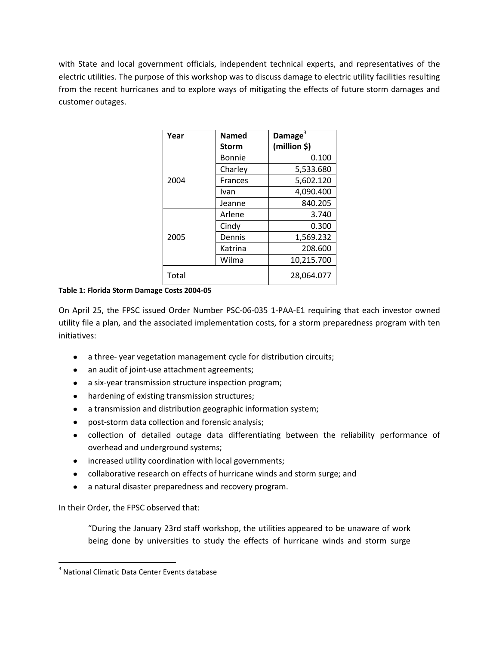with State and local government officials, independent technical experts, and representatives of the electric utilities. The purpose of this workshop was to discuss damage to electric utility facilities resulting from the recent hurricanes and to explore ways of mitigating the effects of future storm damages and customer outages.

| Year  | <b>Named</b>   | Damage $3$   |
|-------|----------------|--------------|
|       | <b>Storm</b>   | (million \$) |
|       | Bonnie         | 0.100        |
|       | Charley        | 5,533.680    |
| 2004  | <b>Frances</b> | 5,602.120    |
|       | Ivan           | 4,090.400    |
|       | Jeanne         | 840.205      |
|       | Arlene         | 3.740        |
| 2005  | Cindy          | 0.300        |
|       | Dennis         | 1,569.232    |
|       | Katrina        | 208.600      |
|       | Wilma          | 10,215.700   |
| Total |                | 28,064.077   |

**Table 1: Florida Storm Damage Costs 2004-05**

On April 25, the FPSC issued Order Number PSC-06-035 1-PAA-E1 requiring that each investor owned utility file a plan, and the associated implementation costs, for a storm preparedness program with ten initiatives:

- a three- year vegetation management cycle for distribution circuits;
- an audit of joint-use attachment agreements;
- a six-year transmission structure inspection program;
- hardening of existing transmission structures;
- a transmission and distribution geographic information system;
- post-storm data collection and forensic analysis;
- collection of detailed outage data differentiating between the reliability performance of overhead and underground systems;
- increased utility coordination with local governments;
- collaborative research on effects of hurricane winds and storm surge; and
- $\bullet$ a natural disaster preparedness and recovery program.

In their Order, the FPSC observed that:

 $\overline{\phantom{0}}$ 

"During the January 23rd staff workshop, the utilities appeared to be unaware of work being done by universities to study the effects of hurricane winds and storm surge

 $3$  National Climatic Data Center Events database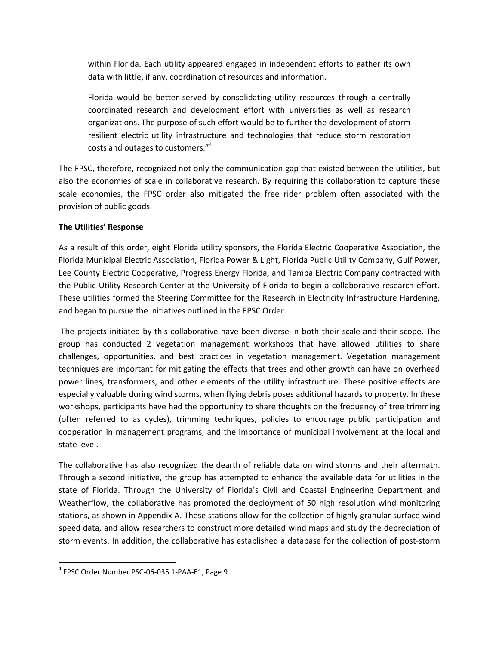within Florida. Each utility appeared engaged in independent efforts to gather its own data with little, if any, coordination of resources and information.

Florida would be better served by consolidating utility resources through a centrally coordinated research and development effort with universities as well as research organizations. The purpose of such effort would be to further the development of storm resilient electric utility infrastructure and technologies that reduce storm restoration costs and outages to customers." 4

The FPSC, therefore, recognized not only the communication gap that existed between the utilities, but also the economies of scale in collaborative research. By requiring this collaboration to capture these scale economies, the FPSC order also mitigated the free rider problem often associated with the provision of public goods.

### **The Utilities' Response**

As a result of this order, eight Florida utility sponsors, the Florida Electric Cooperative Association, the Florida Municipal Electric Association, Florida Power & Light, Florida Public Utility Company, Gulf Power, Lee County Electric Cooperative, Progress Energy Florida, and Tampa Electric Company contracted with the Public Utility Research Center at the University of Florida to begin a collaborative research effort. These utilities formed the Steering Committee for the Research in Electricity Infrastructure Hardening, and began to pursue the initiatives outlined in the FPSC Order.

 The projects initiated by this collaborative have been diverse in both their scale and their scope. The group has conducted 2 vegetation management workshops that have allowed utilities to share challenges, opportunities, and best practices in vegetation management. Vegetation management techniques are important for mitigating the effects that trees and other growth can have on overhead power lines, transformers, and other elements of the utility infrastructure. These positive effects are especially valuable during wind storms, when flying debris poses additional hazards to property. In these workshops, participants have had the opportunity to share thoughts on the frequency of tree trimming (often referred to as cycles), trimming techniques, policies to encourage public participation and cooperation in management programs, and the importance of municipal involvement at the local and state level.

The collaborative has also recognized the dearth of reliable data on wind storms and their aftermath. Through a second initiative, the group has attempted to enhance the available data for utilities in the state of Florida. Through the University of Florida's Civil and Coastal Engineering Department and Weatherflow, the collaborative has promoted the deployment of 50 high resolution wind monitoring stations, as shown in Appendix A. These stations allow for the collection of highly granular surface wind speed data, and allow researchers to construct more detailed wind maps and study the depreciation of storm events. In addition, the collaborative has established a database for the collection of post-storm

 $\overline{\phantom{0}}$ 

<sup>4</sup> FPSC Order Number PSC-06-035 1-PAA-E1, Page 9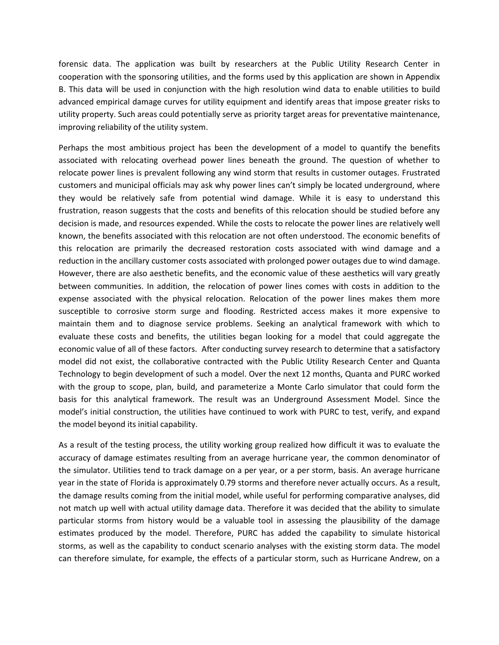forensic data. The application was built by researchers at the Public Utility Research Center in cooperation with the sponsoring utilities, and the forms used by this application are shown in Appendix B. This data will be used in conjunction with the high resolution wind data to enable utilities to build advanced empirical damage curves for utility equipment and identify areas that impose greater risks to utility property. Such areas could potentially serve as priority target areas for preventative maintenance, improving reliability of the utility system.

Perhaps the most ambitious project has been the development of a model to quantify the benefits associated with relocating overhead power lines beneath the ground. The question of whether to relocate power lines is prevalent following any wind storm that results in customer outages. Frustrated customers and municipal officials may ask why power lines can't simply be located underground, where they would be relatively safe from potential wind damage. While it is easy to understand this frustration, reason suggests that the costs and benefits of this relocation should be studied before any decision is made, and resources expended. While the costs to relocate the power lines are relatively well known, the benefits associated with this relocation are not often understood. The economic benefits of this relocation are primarily the decreased restoration costs associated with wind damage and a reduction in the ancillary customer costs associated with prolonged power outages due to wind damage. However, there are also aesthetic benefits, and the economic value of these aesthetics will vary greatly between communities. In addition, the relocation of power lines comes with costs in addition to the expense associated with the physical relocation. Relocation of the power lines makes them more susceptible to corrosive storm surge and flooding. Restricted access makes it more expensive to maintain them and to diagnose service problems. Seeking an analytical framework with which to evaluate these costs and benefits, the utilities began looking for a model that could aggregate the economic value of all of these factors. After conducting survey research to determine that a satisfactory model did not exist, the collaborative contracted with the Public Utility Research Center and Quanta Technology to begin development of such a model. Over the next 12 months, Quanta and PURC worked with the group to scope, plan, build, and parameterize a Monte Carlo simulator that could form the basis for this analytical framework. The result was an Underground Assessment Model. Since the model's initial construction, the utilities have continued to work with PURC to test, verify, and expand the model beyond its initial capability.

As a result of the testing process, the utility working group realized how difficult it was to evaluate the accuracy of damage estimates resulting from an average hurricane year, the common denominator of the simulator. Utilities tend to track damage on a per year, or a per storm, basis. An average hurricane year in the state of Florida is approximately 0.79 storms and therefore never actually occurs. As a result, the damage results coming from the initial model, while useful for performing comparative analyses, did not match up well with actual utility damage data. Therefore it was decided that the ability to simulate particular storms from history would be a valuable tool in assessing the plausibility of the damage estimates produced by the model. Therefore, PURC has added the capability to simulate historical storms, as well as the capability to conduct scenario analyses with the existing storm data. The model can therefore simulate, for example, the effects of a particular storm, such as Hurricane Andrew, on a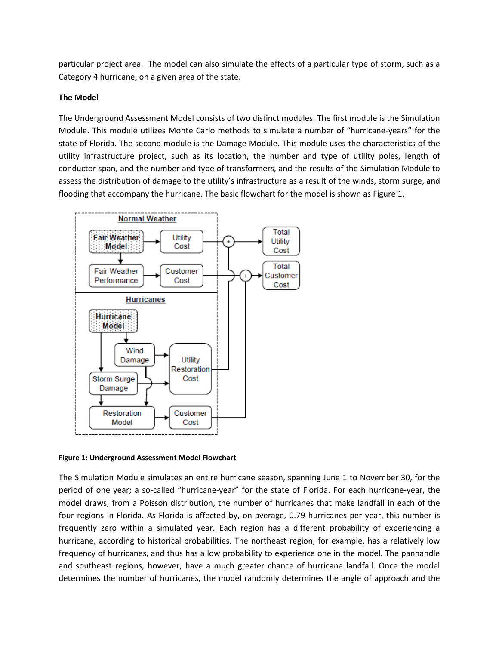particular project area. The model can also simulate the effects of a particular type of storm, such as a Category 4 hurricane, on a given area of the state.

### **The Model**

The Underground Assessment Model consists of two distinct modules. The first module is the Simulation Module. This module utilizes Monte Carlo methods to simulate a number of "hurricane-years" for the state of Florida. The second module is the Damage Module. This module uses the characteristics of the utility infrastructure project, such as its location, the number and type of utility poles, length of conductor span, and the number and type of transformers, and the results of the Simulation Module to assess the distribution of damage to the utility's infrastructure as a result of the winds, storm surge, and flooding that accompany the hurricane. The basic flowchart for the model is shown as Figure 1.



**Figure 1: Underground Assessment Model Flowchart** 

The Simulation Module simulates an entire hurricane season, spanning June 1 to November 30, for the period of one year; a so-called "hurricane-year" for the state of Florida. For each hurricane-year, the model draws, from a Poisson distribution, the number of hurricanes that make landfall in each of the four regions in Florida. As Florida is affected by, on average, 0.79 hurricanes per year, this number is frequently zero within a simulated year. Each region has a different probability of experiencing a hurricane, according to historical probabilities. The northeast region, for example, has a relatively low frequency of hurricanes, and thus has a low probability to experience one in the model. The panhandle and southeast regions, however, have a much greater chance of hurricane landfall. Once the model determines the number of hurricanes, the model randomly determines the angle of approach and the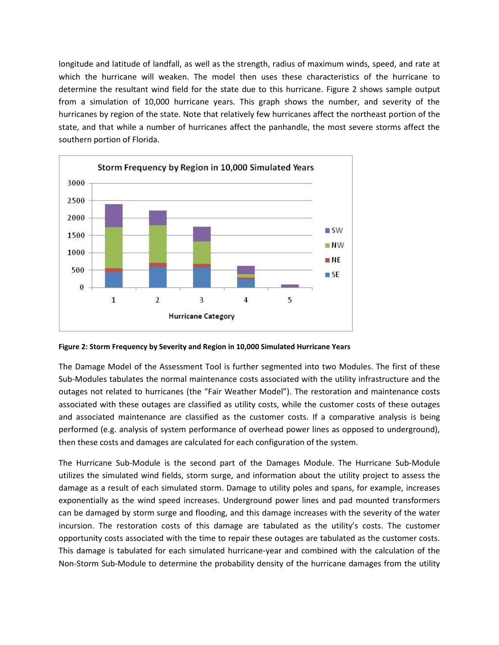longitude and latitude of landfall, as well as the strength, radius of maximum winds, speed, and rate at which the hurricane will weaken. The model then uses these characteristics of the hurricane to determine the resultant wind field for the state due to this hurricane. Figure 2 shows sample output from a simulation of 10,000 hurricane years. This graph shows the number, and severity of the hurricanes by region of the state. Note that relatively few hurricanes affect the northeast portion of the state, and that while a number of hurricanes affect the panhandle, the most severe storms affect the southern portion of Florida.



**Figure 2: Storm Frequency by Severity and Region in 10,000 Simulated Hurricane Years** 

The Damage Model of the Assessment Tool is further segmented into two Modules. The first of these Sub-Modules tabulates the normal maintenance costs associated with the utility infrastructure and the outages not related to hurricanes (the "Fair Weather Model"). The restoration and maintenance costs associated with these outages are classified as utility costs, while the customer costs of these outages and associated maintenance are classified as the customer costs. If a comparative analysis is being performed (e.g. analysis of system performance of overhead power lines as opposed to underground), then these costs and damages are calculated for each configuration of the system.

The Hurricane Sub-Module is the second part of the Damages Module. The Hurricane Sub-Module utilizes the simulated wind fields, storm surge, and information about the utility project to assess the damage as a result of each simulated storm. Damage to utility poles and spans, for example, increases exponentially as the wind speed increases. Underground power lines and pad mounted transformers can be damaged by storm surge and flooding, and this damage increases with the severity of the water incursion. The restoration costs of this damage are tabulated as the utility's costs. The customer opportunity costs associated with the time to repair these outages are tabulated as the customer costs. This damage is tabulated for each simulated hurricane-year and combined with the calculation of the Non-Storm Sub-Module to determine the probability density of the hurricane damages from the utility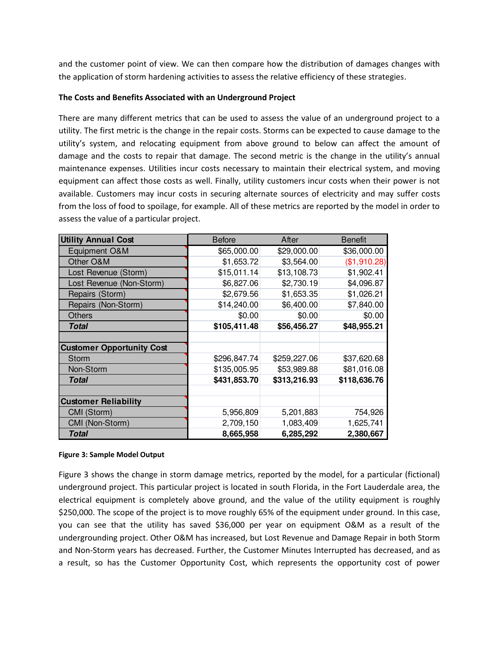and the customer point of view. We can then compare how the distribution of damages changes with the application of storm hardening activities to assess the relative efficiency of these strategies.

#### **The Costs and Benefits Associated with an Underground Project**

There are many different metrics that can be used to assess the value of an underground project to a utility. The first metric is the change in the repair costs. Storms can be expected to cause damage to the utility's system, and relocating equipment from above ground to below can affect the amount of damage and the costs to repair that damage. The second metric is the change in the utility's annual maintenance expenses. Utilities incur costs necessary to maintain their electrical system, and moving equipment can affect those costs as well. Finally, utility customers incur costs when their power is not available. Customers may incur costs in securing alternate sources of electricity and may suffer costs from the loss of food to spoilage, for example. All of these metrics are reported by the model in order to assess the value of a particular project.

| <b>Utility Annual Cost</b>       | <b>Before</b> | After        | <b>Benefit</b> |
|----------------------------------|---------------|--------------|----------------|
| Equipment O&M                    | \$65,000.00   | \$29,000.00  | \$36,000.00    |
| Other O&M                        | \$1,653.72    | \$3,564.00   | (\$1,910.28)   |
| Lost Revenue (Storm)             | \$15,011.14   | \$13,108.73  | \$1,902.41     |
| Lost Revenue (Non-Storm)         | \$6,827.06    | \$2,730.19   | \$4,096.87     |
| Repairs (Storm)                  | \$2,679.56    | \$1,653.35   | \$1,026.21     |
| Repairs (Non-Storm)              | \$14,240.00   | \$6,400.00   | \$7,840.00     |
| <b>Others</b>                    | \$0.00        | \$0.00       | \$0.00         |
| <b>Total</b>                     | \$105,411.48  | \$56,456.27  | \$48,955.21    |
|                                  |               |              |                |
| <b>Customer Opportunity Cost</b> |               |              |                |
| Storm                            | \$296,847.74  | \$259,227.06 | \$37,620.68    |
| Non-Storm                        | \$135,005.95  | \$53,989.88  | \$81,016.08    |
| Total                            | \$431,853.70  | \$313,216.93 | \$118,636.76   |
|                                  |               |              |                |
| <b>Customer Reliability</b>      |               |              |                |
| CMI (Storm)                      | 5,956,809     | 5,201,883    | 754,926        |
| CMI (Non-Storm)                  | 2,709,150     | 1,083,409    | 1,625,741      |
| Total                            | 8,665,958     | 6,285,292    | 2,380,667      |

#### **Figure 3: Sample Model Output**

Figure 3 shows the change in storm damage metrics, reported by the model, for a particular (fictional) underground project. This particular project is located in south Florida, in the Fort Lauderdale area, the electrical equipment is completely above ground, and the value of the utility equipment is roughly \$250,000. The scope of the project is to move roughly 65% of the equipment under ground. In this case, you can see that the utility has saved \$36,000 per year on equipment O&M as a result of the undergrounding project. Other O&M has increased, but Lost Revenue and Damage Repair in both Storm and Non-Storm years has decreased. Further, the Customer Minutes Interrupted has decreased, and as a result, so has the Customer Opportunity Cost, which represents the opportunity cost of power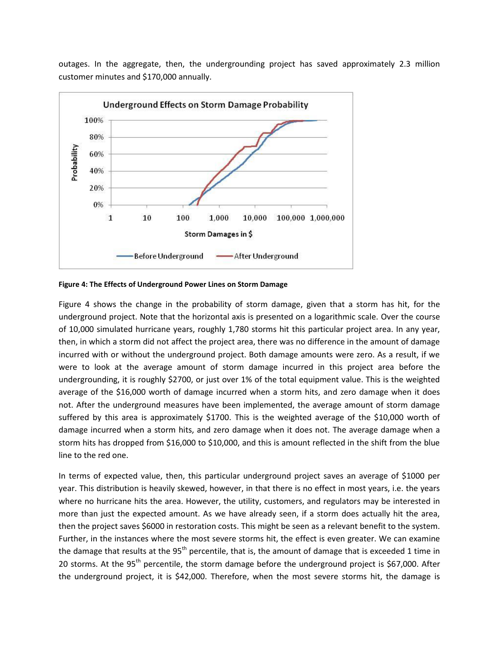outages. In the aggregate, then, the undergrounding project has saved approximately 2.3 million customer minutes and \$170,000 annually.



**Figure 4: The Effects of Underground Power Lines on Storm Damage** 

Figure 4 shows the change in the probability of storm damage, given that a storm has hit, for the underground project. Note that the horizontal axis is presented on a logarithmic scale. Over the course of 10,000 simulated hurricane years, roughly 1,780 storms hit this particular project area. In any year, then, in which a storm did not affect the project area, there was no difference in the amount of damage incurred with or without the underground project. Both damage amounts were zero. As a result, if we were to look at the average amount of storm damage incurred in this project area before the undergrounding, it is roughly \$2700, or just over 1% of the total equipment value. This is the weighted average of the \$16,000 worth of damage incurred when a storm hits, and zero damage when it does not. After the underground measures have been implemented, the average amount of storm damage suffered by this area is approximately \$1700. This is the weighted average of the \$10,000 worth of damage incurred when a storm hits, and zero damage when it does not. The average damage when a storm hits has dropped from \$16,000 to \$10,000, and this is amount reflected in the shift from the blue line to the red one.

In terms of expected value, then, this particular underground project saves an average of \$1000 per year. This distribution is heavily skewed, however, in that there is no effect in most years, i.e. the years where no hurricane hits the area. However, the utility, customers, and regulators may be interested in more than just the expected amount. As we have already seen, if a storm does actually hit the area, then the project saves \$6000 in restoration costs. This might be seen as a relevant benefit to the system. Further, in the instances where the most severe storms hit, the effect is even greater. We can examine the damage that results at the  $95<sup>th</sup>$  percentile, that is, the amount of damage that is exceeded 1 time in 20 storms. At the 95<sup>th</sup> percentile, the storm damage before the underground project is \$67,000. After the underground project, it is \$42,000. Therefore, when the most severe storms hit, the damage is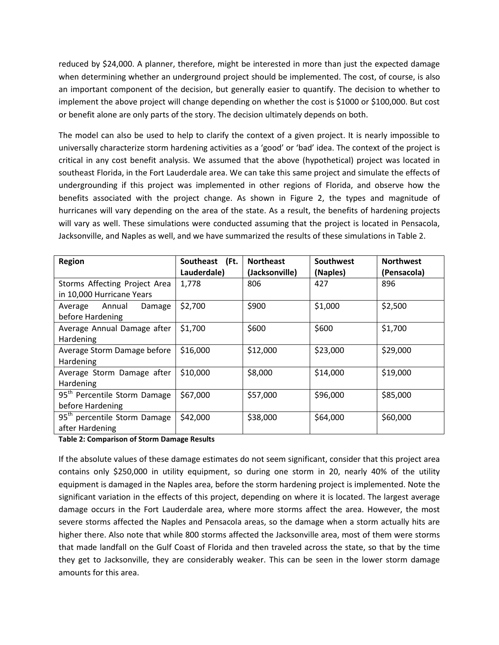reduced by \$24,000. A planner, therefore, might be interested in more than just the expected damage when determining whether an underground project should be implemented. The cost, of course, is also an important component of the decision, but generally easier to quantify. The decision to whether to implement the above project will change depending on whether the cost is \$1000 or \$100,000. But cost or benefit alone are only parts of the story. The decision ultimately depends on both.

The model can also be used to help to clarify the context of a given project. It is nearly impossible to universally characterize storm hardening activities as a 'good' or 'bad' idea. The context of the project is critical in any cost benefit analysis. We assumed that the above (hypothetical) project was located in southeast Florida, in the Fort Lauderdale area. We can take this same project and simulate the effects of undergrounding if this project was implemented in other regions of Florida, and observe how the benefits associated with the project change. As shown in Figure 2, the types and magnitude of hurricanes will vary depending on the area of the state. As a result, the benefits of hardening projects will vary as well. These simulations were conducted assuming that the project is located in Pensacola, Jacksonville, and Naples as well, and we have summarized the results of these simulations in Table 2.

| <b>Region</b>                            | Southeast (Ft. | <b>Northeast</b> | Southwest | <b>Northwest</b> |
|------------------------------------------|----------------|------------------|-----------|------------------|
|                                          | Lauderdale)    | (Jacksonville)   | (Naples)  | (Pensacola)      |
| Storms Affecting Project Area            | 1,778          | 806              | 427       | 896              |
| in 10,000 Hurricane Years                |                |                  |           |                  |
| Annual<br>Damage<br>Average              | \$2,700        | \$900            | \$1,000   | \$2,500          |
| before Hardening                         |                |                  |           |                  |
| Average Annual Damage after              | \$1,700        | \$600            | \$600     | \$1,700          |
| Hardening                                |                |                  |           |                  |
| Average Storm Damage before              | \$16,000       | \$12,000         | \$23,000  | \$29,000         |
| Hardening                                |                |                  |           |                  |
| Average Storm Damage after               | \$10,000       | \$8,000          | \$14,000  | \$19,000         |
| Hardening                                |                |                  |           |                  |
| 95 <sup>th</sup> Percentile Storm Damage | \$67,000       | \$57,000         | \$96,000  | \$85,000         |
| before Hardening                         |                |                  |           |                  |
| 95 <sup>th</sup> percentile Storm Damage | \$42,000       | \$38,000         | \$64,000  | \$60,000         |
| after Hardening                          |                |                  |           |                  |

**Table 2: Comparison of Storm Damage Results** 

If the absolute values of these damage estimates do not seem significant, consider that this project area contains only \$250,000 in utility equipment, so during one storm in 20, nearly 40% of the utility equipment is damaged in the Naples area, before the storm hardening project is implemented. Note the significant variation in the effects of this project, depending on where it is located. The largest average damage occurs in the Fort Lauderdale area, where more storms affect the area. However, the most severe storms affected the Naples and Pensacola areas, so the damage when a storm actually hits are higher there. Also note that while 800 storms affected the Jacksonville area, most of them were storms that made landfall on the Gulf Coast of Florida and then traveled across the state, so that by the time they get to Jacksonville, they are considerably weaker. This can be seen in the lower storm damage amounts for this area.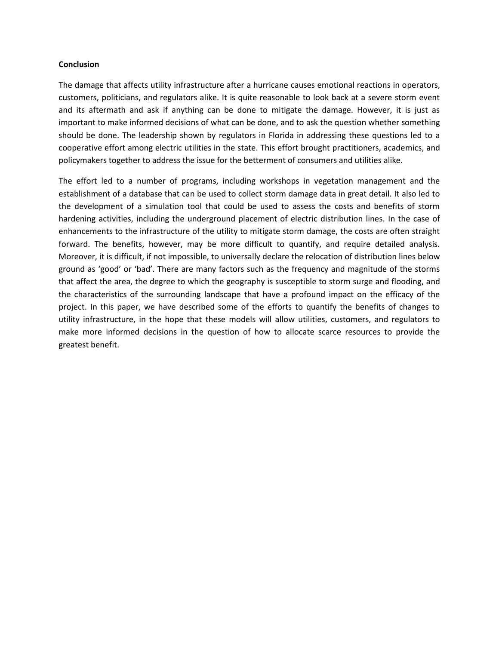#### **Conclusion**

The damage that affects utility infrastructure after a hurricane causes emotional reactions in operators, customers, politicians, and regulators alike. It is quite reasonable to look back at a severe storm event and its aftermath and ask if anything can be done to mitigate the damage. However, it is just as important to make informed decisions of what can be done, and to ask the question whether something should be done. The leadership shown by regulators in Florida in addressing these questions led to a cooperative effort among electric utilities in the state. This effort brought practitioners, academics, and policymakers together to address the issue for the betterment of consumers and utilities alike.

The effort led to a number of programs, including workshops in vegetation management and the establishment of a database that can be used to collect storm damage data in great detail. It also led to the development of a simulation tool that could be used to assess the costs and benefits of storm hardening activities, including the underground placement of electric distribution lines. In the case of enhancements to the infrastructure of the utility to mitigate storm damage, the costs are often straight forward. The benefits, however, may be more difficult to quantify, and require detailed analysis. Moreover, it is difficult, if not impossible, to universally declare the relocation of distribution lines below ground as 'good' or 'bad'. There are many factors such as the frequency and magnitude of the storms that affect the area, the degree to which the geography is susceptible to storm surge and flooding, and the characteristics of the surrounding landscape that have a profound impact on the efficacy of the project. In this paper, we have described some of the efforts to quantify the benefits of changes to utility infrastructure, in the hope that these models will allow utilities, customers, and regulators to make more informed decisions in the question of how to allocate scarce resources to provide the greatest benefit.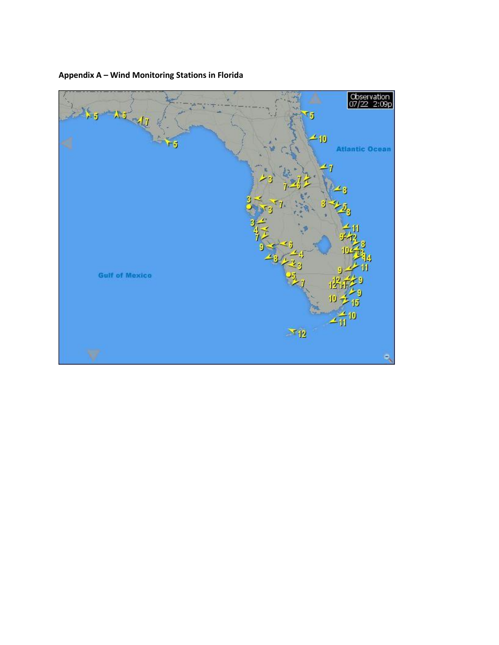

# **Appendix A – Wind Monitoring Stations in Florida**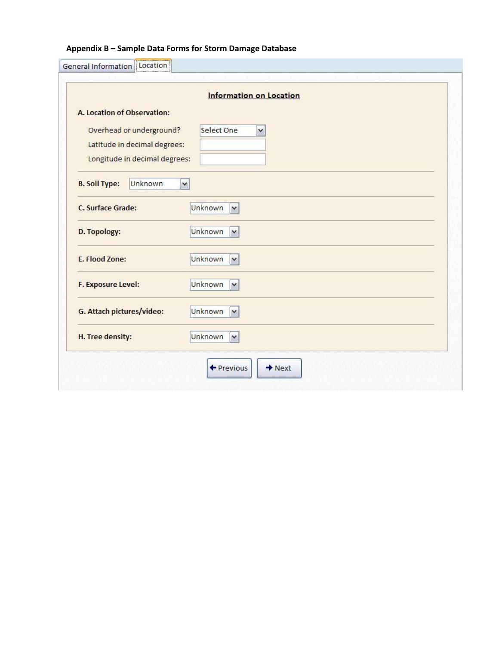# **Appendix B – Sample Data Forms for Storm Damage Database**

|                                 | <b>Information on Location</b> |
|---------------------------------|--------------------------------|
| A. Location of Observation:     |                                |
| Overhead or underground?        | Select One<br>v                |
| Latitude in decimal degrees:    |                                |
| Longitude in decimal degrees:   |                                |
|                                 |                                |
| <b>B. Soil Type:</b><br>Unknown | ×                              |
| <b>C. Surface Grade:</b>        | <b>Unknown</b><br>$\checkmark$ |
|                                 |                                |
| D. Topology:                    | Unknown<br>$\checkmark$        |
| E. Flood Zone:                  | Unknown<br>$\checkmark$        |
|                                 |                                |
| <b>F. Exposure Level:</b>       | Unknown<br>$\checkmark$        |
|                                 |                                |
| G. Attach pictures/video:       | Unknown<br>$\checkmark$        |
|                                 |                                |
| H. Tree density:                | Unknown<br>$\checkmark$        |
|                                 |                                |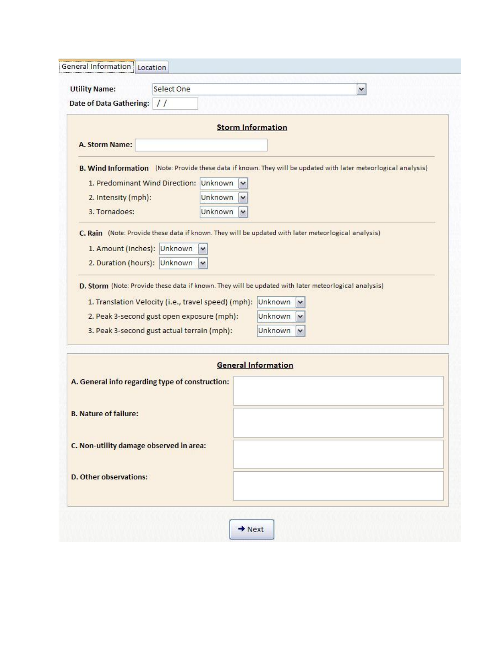| <b>Utility Name:</b><br><b>Date of Data Gathering:</b><br>$\frac{1}{2}$                                         | Select One                 |                                         | v |  |
|-----------------------------------------------------------------------------------------------------------------|----------------------------|-----------------------------------------|---|--|
|                                                                                                                 | <b>Storm Information</b>   |                                         |   |  |
| A. Storm Name:                                                                                                  |                            |                                         |   |  |
| B. Wind Information (Note: Provide these data if known. They will be updated with later meteorlogical analysis) |                            |                                         |   |  |
| 1. Predominant Wind Direction: Unknown                                                                          | v                          |                                         |   |  |
| 2. Intensity (mph):                                                                                             | Unknown<br>$\checkmark$    |                                         |   |  |
| 3. Tornadoes:                                                                                                   | Unknown<br>$\checkmark$    |                                         |   |  |
| C. Rain (Note: Provide these data if known. They will be updated with later meteorlogical analysis)             |                            |                                         |   |  |
| 1. Amount (inches): Unknown                                                                                     |                            |                                         |   |  |
| 2. Duration (hours): Unknown                                                                                    |                            |                                         |   |  |
| 2. Peak 3-second gust open exposure (mph):<br>3. Peak 3-second gust actual terrain (mph):                       |                            | Unknown<br>v<br>Unknown<br>$\checkmark$ |   |  |
|                                                                                                                 | <b>General Information</b> |                                         |   |  |
| A. General info regarding type of construction:                                                                 |                            |                                         |   |  |
| <b>B. Nature of failure:</b>                                                                                    |                            |                                         |   |  |
|                                                                                                                 |                            |                                         |   |  |
| C. Non-utility damage observed in area:                                                                         |                            |                                         |   |  |
|                                                                                                                 |                            |                                         |   |  |
|                                                                                                                 |                            |                                         |   |  |
| <b>D. Other observations:</b>                                                                                   |                            |                                         |   |  |